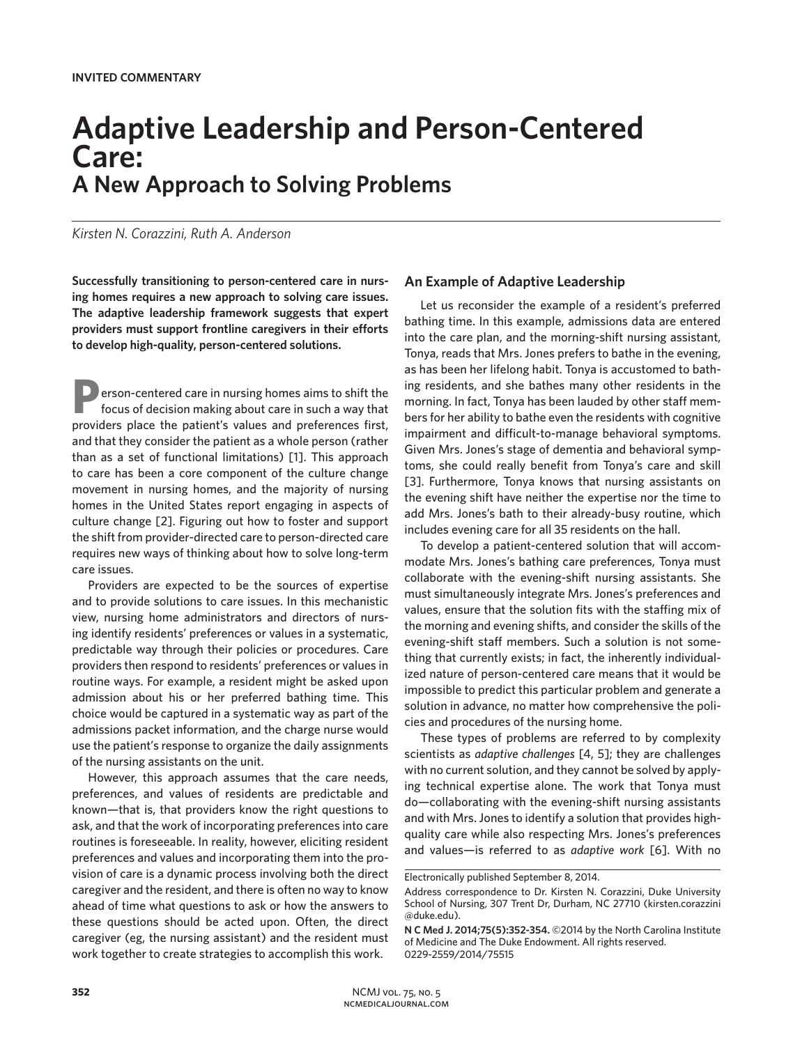# **Adaptive Leadership and Person-Centered Care: A New Approach to Solving Problems**

*Kirsten N. Corazzini, Ruth A. Anderson*

**Successfully transitioning to person-centered care in nursing homes requires a new approach to solving care issues. The adaptive leadership framework suggests that expert providers must support frontline caregivers in their efforts to develop high-quality, person-centered solutions.**

**P**erson-centered care in nursing homes aims to shift the focus of decision making about care in such a way that providers place the patient's values and preferences first, and that they consider the patient as a whole person (rather than as a set of functional limitations) [1]. This approach to care has been a core component of the culture change movement in nursing homes, and the majority of nursing homes in the United States report engaging in aspects of culture change [2]. Figuring out how to foster and support the shift from provider-directed care to person-directed care requires new ways of thinking about how to solve long-term care issues.

Providers are expected to be the sources of expertise and to provide solutions to care issues. In this mechanistic view, nursing home administrators and directors of nursing identify residents' preferences or values in a systematic, predictable way through their policies or procedures. Care providers then respond to residents' preferences or values in routine ways. For example, a resident might be asked upon admission about his or her preferred bathing time. This choice would be captured in a systematic way as part of the admissions packet information, and the charge nurse would use the patient's response to organize the daily assignments of the nursing assistants on the unit.

However, this approach assumes that the care needs, preferences, and values of residents are predictable and known—that is, that providers know the right questions to ask, and that the work of incorporating preferences into care routines is foreseeable. In reality, however, eliciting resident preferences and values and incorporating them into the provision of care is a dynamic process involving both the direct caregiver and the resident, and there is often no way to know ahead of time what questions to ask or how the answers to these questions should be acted upon. Often, the direct caregiver (eg, the nursing assistant) and the resident must work together to create strategies to accomplish this work.

## **An Example of Adaptive Leadership**

Let us reconsider the example of a resident's preferred bathing time. In this example, admissions data are entered into the care plan, and the morning-shift nursing assistant, Tonya, reads that Mrs. Jones prefers to bathe in the evening, as has been her lifelong habit. Tonya is accustomed to bathing residents, and she bathes many other residents in the morning. In fact, Tonya has been lauded by other staff members for her ability to bathe even the residents with cognitive impairment and difficult-to-manage behavioral symptoms. Given Mrs. Jones's stage of dementia and behavioral symptoms, she could really benefit from Tonya's care and skill [3]. Furthermore, Tonya knows that nursing assistants on the evening shift have neither the expertise nor the time to add Mrs. Jones's bath to their already-busy routine, which includes evening care for all 35 residents on the hall.

To develop a patient-centered solution that will accommodate Mrs. Jones's bathing care preferences, Tonya must collaborate with the evening-shift nursing assistants. She must simultaneously integrate Mrs. Jones's preferences and values, ensure that the solution fits with the staffing mix of the morning and evening shifts, and consider the skills of the evening-shift staff members. Such a solution is not something that currently exists; in fact, the inherently individualized nature of person-centered care means that it would be impossible to predict this particular problem and generate a solution in advance, no matter how comprehensive the policies and procedures of the nursing home.

These types of problems are referred to by complexity scientists as *adaptive challenges* [4, 5]; they are challenges with no current solution, and they cannot be solved by applying technical expertise alone. The work that Tonya must do—collaborating with the evening-shift nursing assistants and with Mrs. Jones to identify a solution that provides highquality care while also respecting Mrs. Jones's preferences and values—is referred to as *adaptive work* [6]. With no

Electronically published September 8, 2014.

Address correspondence to Dr. Kirsten N. Corazzini, Duke University School of Nursing, 307 Trent Dr, Durham, NC 27710 (kirsten.corazzini @duke.edu).

**N C Med J. 2014;75(5):352-354.** ©2014 by the North Carolina Institute of Medicine and The Duke Endowment. All rights reserved. 0229-2559/2014/75515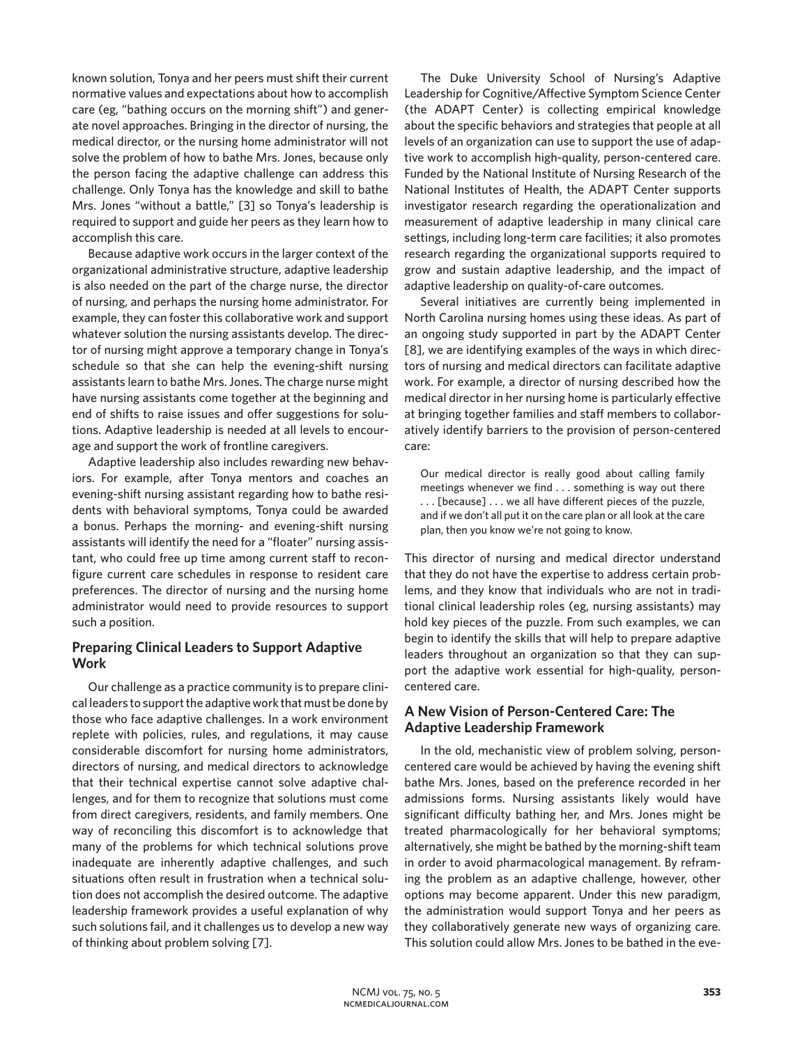known solution, Tonya and her peers must shift their current normative values and expectations about how to accomplish care (eg, "bathing occurs on the morning shift") and generate novel approaches. Bringing in the director of nursing, the medical director, or the nursing home administrator will not solve the problem of how to bathe Mrs. Jones, because only the person facing the adaptive challenge can address this challenge. Only Tonya has the knowledge and skill to bathe Mrs. Jones "without a battle," [3] so Tonya's leadership is required to support and guide her peers as they learn how to accomplish this care.

Because adaptive work occurs in the larger context of the organizational administrative structure, adaptive leadership is also needed on the part of the charge nurse, the director of nursing, and perhaps the nursing home administrator. For example, they can foster this collaborative work and support whatever solution the nursing assistants develop. The director of nursing might approve a temporary change in Tonya's schedule so that she can help the evening-shift nursing assistants learn to bathe Mrs. Jones. The charge nurse might have nursing assistants come together at the beginning and end of shifts to raise issues and offer suggestions for solutions. Adaptive leadership is needed at all levels to encourage and support the work of frontline caregivers.

Adaptive leadership also includes rewarding new behaviors. For example, after Tonya mentors and coaches an evening-shift nursing assistant regarding how to bathe residents with behavioral symptoms, Tonya could be awarded a bonus. Perhaps the morning- and evening-shift nursing assistants will identify the need for a "floater" nursing assistant, who could free up time among current staff to reconfigure current care schedules in response to resident care preferences. The director of nursing and the nursing home administrator would need to provide resources to support such a position.

## **Preparing Clinical Leaders to Support Adaptive Work**

Our challenge as a practice community is to prepare clinical leaders to support the adaptive work that must be done by those who face adaptive challenges. In a work environment replete with policies, rules, and regulations, it may cause considerable discomfort for nursing home administrators, directors of nursing, and medical directors to acknowledge that their technical expertise cannot solve adaptive challenges, and for them to recognize that solutions must come from direct caregivers, residents, and family members. One way of reconciling this discomfort is to acknowledge that many of the problems for which technical solutions prove inadequate are inherently adaptive challenges, and such situations often result in frustration when a technical solution does not accomplish the desired outcome. The adaptive leadership framework provides a useful explanation of why such solutions fail, and it challenges us to develop a new way of thinking about problem solving [7].

The Duke University School of Nursing's Adaptive Leadership for Cognitive/Affective Symptom Science Center (the ADAPT Center) is collecting empirical knowledge about the specific behaviors and strategies that people at all levels of an organization can use to support the use of adaptive work to accomplish high-quality, person-centered care. Funded by the National Institute of Nursing Research of the National Institutes of Health, the ADAPT Center supports investigator research regarding the operationalization and measurement of adaptive leadership in many clinical care settings, including long-term care facilities; it also promotes research regarding the organizational supports required to grow and sustain adaptive leadership, and the impact of adaptive leadership on quality-of-care outcomes.

Several initiatives are currently being implemented in North Carolina nursing homes using these ideas. As part of an ongoing study supported in part by the ADAPT Center [8], we are identifying examples of the ways in which directors of nursing and medical directors can facilitate adaptive work. For example, a director of nursing described how the medical director in her nursing home is particularly effective at bringing together families and staff members to collaboratively identify barriers to the provision of person-centered care:

Our medical director is really good about calling family meetings whenever we find . . . something is way out there . . . [because] . . . we all have different pieces of the puzzle, and if we don't all put it on the care plan or all look at the care plan, then you know we're not going to know.

This director of nursing and medical director understand that they do not have the expertise to address certain problems, and they know that individuals who are not in traditional clinical leadership roles (eg, nursing assistants) may hold key pieces of the puzzle. From such examples, we can begin to identify the skills that will help to prepare adaptive leaders throughout an organization so that they can support the adaptive work essential for high-quality, personcentered care.

# **A New Vision of Person-Centered Care: The Adaptive Leadership Framework**

In the old, mechanistic view of problem solving, personcentered care would be achieved by having the evening shift bathe Mrs. Jones, based on the preference recorded in her admissions forms. Nursing assistants likely would have significant difficulty bathing her, and Mrs. Jones might be treated pharmacologically for her behavioral symptoms; alternatively, she might be bathed by the morning-shift team in order to avoid pharmacological management. By reframing the problem as an adaptive challenge, however, other options may become apparent. Under this new paradigm, the administration would support Tonya and her peers as they collaboratively generate new ways of organizing care. This solution could allow Mrs. Jones to be bathed in the eve